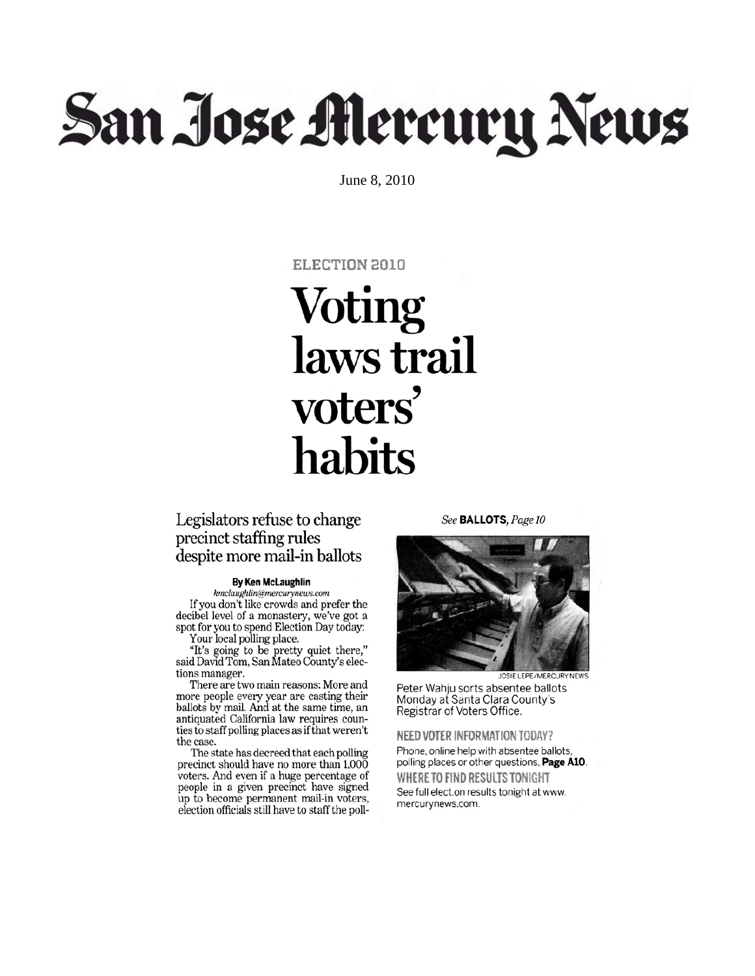# San Jose Mercury News

June 8, 2010

## ELECTION 2010

## **Voting** laws trail voters' habits

## Legislators refuse to change precinct staffing rules despite more mail-in ballots

#### **By Ken McLaughlin**

kmclaughlin@mercurynews.com If you don't like crowds and prefer the decibel level of a monastery, we've got a spot for you to spend Election Day today: Your local polling place.

"It's going to be pretty quiet there,"<br>said David Tom, San Mateo County's elec-

tions manager.

There are two main reasons: More and more people every year are casting their<br>ballots by mail. And at the same time, an antiquated California law requires counties to staff polling places as if that weren't the case.

The state has decreed that each polling precinct should have no more than  $1,000$ voters. And even if a huge percentage of people in a given precinct have signed up to become permanent mail-in voters, election officials still have to staff the pollSee BALLOTS, Page 10



Peter Wahju sorts absentee ballots Monday at Santa Clara County's Registrar of Voters Office.

NEED VOTER INFORMATION TODAY?

Phone, online help with absentee ballots, polling places or other questions, Page A10. WHERE TO FIND RESULTS TONIGHT See full elect.on results tonight at www. mercurynews.com.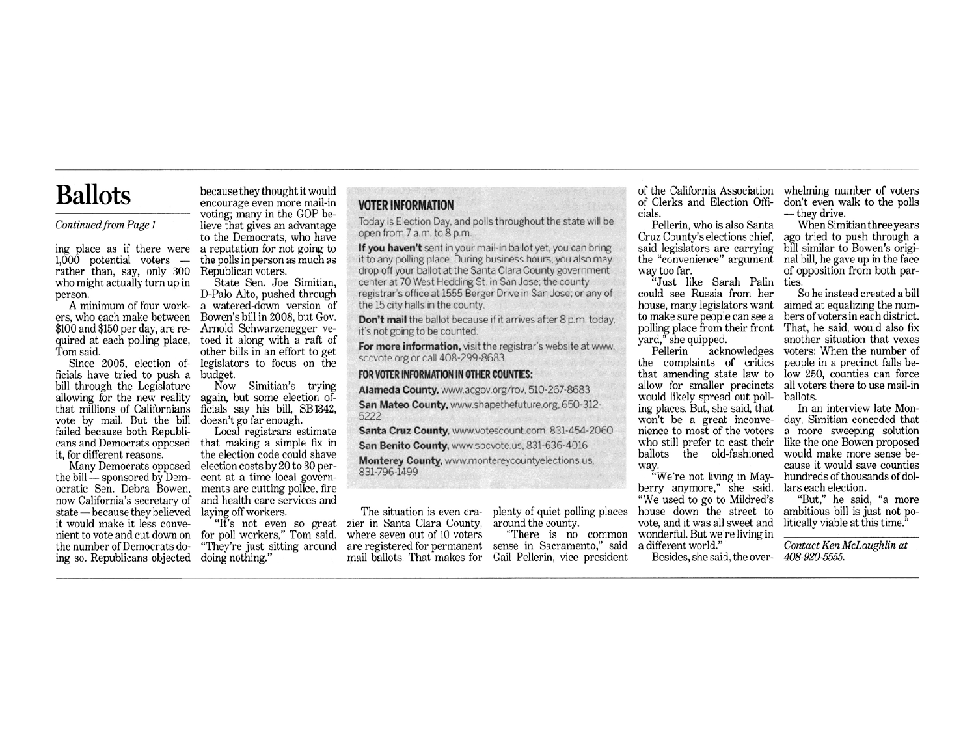## **Ballots**

### Continued from Page 1

 $1,000$  potential voters  $$ rather than, say, only 300 who might actually turn up in person.

ers, who each make between \$100 and \$150 per day, are required at each polling place. Tom said.

Since 2005, election officials have tried to push a budget. bill through the Legislature allowing for the new reality that millions of Californians vote by mail. But the bill failed because both Republiit, for different reasons.

Many Democrats opposed the bill - sponsored by Democratic Sen. Debra Bowen, now California's secretary of state - because they believed it would make it less convenient to vote and cut down on for poll workers," Tom said. the number of Democrats doing so. Republicans objected doing nothing."

because they thought it would encourage even more mail-in voting; many in the GOP believe that gives an advantage to the Democrats, who have ing place as if there were a reputation for not going to the polls in person as much as Republican voters.

State Sen. Joe Simitian, D-Palo Alto, pushed through A minimum of four work- a watered-down version of Bowen's bill in 2008, but Gov. Arnold Schwarzenegger vetoed it along with a raft of other bills in an effort to get legislators to focus on the

> Now Simitian's trying again, but some election officials say his bill, SB1342, doesn't go far enough.

Local registrars estimate cans and Democrats opposed that making a simple fix in the election code could shave election costs by 20 to 30 percent at a time local governments are cutting police, fire and health care services and laying off workers.

"It's not even so great "They're just sitting around

## **VOTER INFORMATION**

Today is Election Day, and polls throughout the state will be open from 7 a.m. to 8 p.m.

If you haven't sent in your mail-in ballot yet, you can bring it to any polling place. During business hours, you also may drop off your ballot at the Santa Clara County government center at 70 West Hedding St. in San Jose; the county registrar's office at 1555 Berger Drive in San Jose; or any of the 15 city halls in the county.

Don't mail the ballot because if it arrives after 8 p.m. today, it's not going to be counted.

For more information, visit the registrar's website at www. sccvote.org or call 408-299-8683

#### FOR VOTER INFORMATION IN OTHER COUNTIES:

Alameda County, www.acgov.org/rov. 510-267-8683

San Mateo County, www.shapethefuture.org, 650-312-5222

Santa Cruz County, www.votescount.com, 831-454-2060

San Benito County, www.sbcvote.us, 831-636-4016

Monterey County, www.montereycountyelections.us, 831-796-1499

The situation is even crazier in Santa Clara County, where seven out of 10 voters are registered for permanent sense in Sacramento," said

plenty of quiet polling places around the county.

"There is no common mail ballots. That makes for Gail Pellerin, vice president

of the California Association whelming number of voters of Clerks and Election Officials.

Pellerin, who is also Santa Cruz County's elections chief. said legislators are carrying the "convenience" argument way too far.

"Just like Sarah Palin could see Russia from her house, many legislators want to make sure people can see a bers of voters in each district.<br>polling place from their front That, he said, would also fix vard." she quipped.

Pellerin acknowledges the complaints of critics that amending state law to allow for smaller precincts would likely spread out polling places. But, she said, that won't be a great inconvenience to most of the voters who still prefer to cast their ballots the old-fashioned way.

"We're not living in Mayberry anymore," she said. "We used to go to Mildred's house down the street to vote, and it was all sweet and wonderful. But we're living in a different world."

Besides, she said, the over- 408-920-5555.

don't even walk to the polls - they drive.

When Simitian three years ago tried to push through a bill similar to Bowen's original bill, he gave up in the face of opposition from both parties.

So he instead created a bill aimed at equalizing the numanother situation that vexes voters: When the number of people in a precinct falls below 250, counties can force all voters there to use mail-in ballots.

In an interview late Monday, Simitian conceded that a more sweeping solution like the one Bowen proposed would make more sense because it would save counties hundreds of thousands of dollars each election.

"But," he said, "a more ambitious bill is just not politically viable at this time.

Contact Ken McLaughlin at